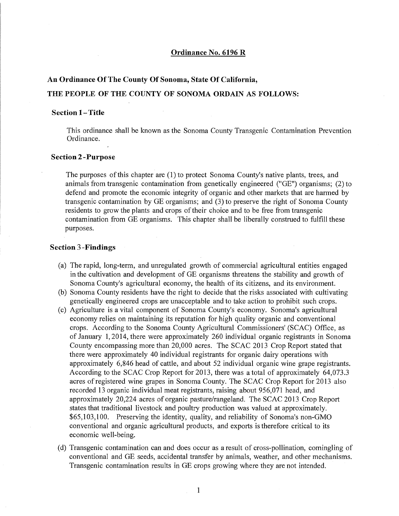#### **Ordinance No. 6196 R**

# **An Ordinance Of The County Of Sonoma, State Of California, THE PEOPLE OF THE COUNTY OF SONOMA ORDAIN AS FOLLOWS:**

#### **Section 1-Title**

This ordinance shall be known as the Sonoma County Transgenic Contamination Prevention Ordinance.

#### **Section2-Purpose**

The purposes ofthis chapter are (1) to protect Sonoma County's native plants, trees, and animals from transgenic contamination from genetically engineered ("GE") organisms; (2) to defend and promote the economic integrity of organic and other markets that are harmed by transgenic contamination by GE organisms; and (3) to preserve the right of Sonoma County residents to grow the plants and crops of their choice and to be free from transgenic contamination from GE organisms. This chapter shall be liberally construed to fulfill these purposes.

#### **Section 3-Findings**

- (a) The rapid, long-term, and unregulated growth of commercial agricultural entities engaged in the cultivation and development of GE organisms threatens the stability and growth of Sonoma County's agricultural economy, the health of its citizens, and its environment.
- (b) Sonoma County residents have the right to decide that the risks associated with cultivating genetically engineered crops are unacceptable and to take action to prohibit such crops.
- (c) Agriculture is a vital component of Sonoma County's economy. Sonoma's agricultural economy relies on maintaining its reputation for high quality organic and conventional crops. According to the Sonoma County Agricultural Commissioners' (SCAC) Office, as of January 1, 2014, there were approximately 260 individual organic registrants in Sonoma County encompassing more than 20,000 acres. The SCAC 2013 Crop Report stated that there were approximately 40 individual registrants for organic dairy operations with approximately 6,846 head of cattle, and about 52 individual organic wine grape registrants. According to the SCAC Crop Report for 2013, there was a total of approximately 64,073.3 acres ofregistered wine grapes in Sonoma County. The SCAC Crop Report for 2013 also recorded 13 organic individual meat registrants, raising about 956,071 head, and approximately 20,224 acres of organic pasture/rangeland. The SCAC 2013 Crop Report states that traditional livestock and poultry production was valued at approximately. \$65,103,100. Preserving the identity, quality, and reliability of Sonoma's non-GMO conventional and organic agricultural products, and exports is therefore critical to its economic well-being.
- (d) Transgenic contamination can and does occur as a result of cross-pollination, comingling of conventional and GE seeds, accidental transfer by animals, weather, and other mechanisms. Transgenic contamination results in GE crops growing where they are not intended.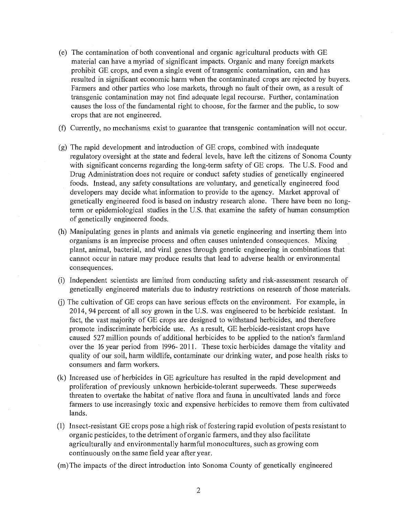- $(e)$  The contamination of both conventional and organic agricultural products with GE material can have a myriad of significant impacts. Organic and many foreign markets prohibit GE crops, and even a single event of transgenic contamination, can and has resulted in significant economic harm when the contaminated crops are rejected by buyers. Farmers and other parties who lose markets, through no fault of their own, as a result of transgenic contamination may not find adequate legal recourse. Further, contamination causes the loss of the fundamental right to choose, for the farmer and the public, to sow crops that are not engineered.
- (f) Currently, no mechanisms. exist to guarantee that transgenic contamination will not occur.
- $(g)$  The rapid development and introduction of GE crops, combined with inadequate regulatory oversight at the state and federal levels, have left the citizens of Sonoma County with significant concerns regarding the long-term safety of GE crops. The U.S. Food and Drug Administration does not require or conduct safety studies of genetically engineered foods. Instead, any safety consultations are voluntary, and genetically engineered food developers may decide what information to provide to the agency. Market approval of genetically engineered food is based on industry research alone. There have been no longterm or epidemiological studies in the U.S. that examine the safety of human consumption of genetically engineered foods.
- (h) Manipulating genes in plants and animals via genetic engineering and inserting them into organisms is an imprecise process and often causes unintended consequences. Mixing plant, animal, bacterial, and viral genes through genetic engineering in combinations that cannot occur in nature may produce results that lead to adverse health or environmental consequences.
- (i) Independent scientists are limited from conducting safety and risk-assessment research of genetically engineered materials due to industry restrictions on research of those materials.
- $(i)$  The cultivation of GE crops can have serious effects on the environment. For example, in 2014, 94 percent of all soy grown in the U.S. was engineered to be herbicide resistant. In fact, the vast majority of GE crops are designed to withstand herbicides, and therefore promote indiscriminate herbicide use. As a result, GE herbicide-resistant crops have caused 527 million pounds of additional herbicides to be applied to the nation's farmland over the 16 year period from 1996- 2011. These toxic herbicides damage the vitality and quality of our soil, harm wildlife, contaminate our drinking water, and pose health risks to consumers and farm workers.
- (k) Increased use of herbicides in GE agriculture has resulted in the rapid development and proliferation of previously unknown herbicide-tolerant superweeds. These superweeds threaten to overtake the habitat of native flora and fauna in uncultivated lands and force farmers to use increasingly toxic and expensive herbicides to remove them from cultivated lands.
- $(1)$  Insect-resistant GE crops pose a high risk of fostering rapid evolution of pests resistant to organic pesticides, to the detriment oforganic farmers, and they also facilitate agriculturally and environmentally harmful monocultures, such as growing com continuously on the same field year after year.
- (m)The impacts of the direct introduction into Sonoma County of genetically engineered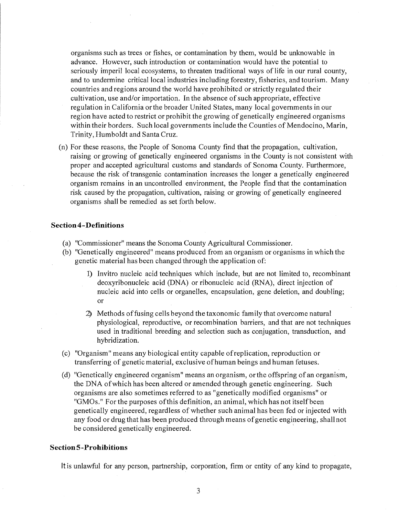organisms such as trees or fishes, or contamination by them, would be unknowable in advance. However, such introduction or contamination would have the potential to seriously imperil local ecosystems, to threaten traditional ways of life in our rural county, and to undermine critical local industries including forestry, fisheries, and tourism. Many countries and regions around the world have prohibited or strictly regulated their cultivation, use and/or importation. In the absence of such appropriate, effective regulation in California or the broader United States, many local governments in our region have acted to restrict or prohibit the growing of genetically engineered organisms within their borders. Such local governments include the Counties of Mendocino, Marin, Trinity, Humboldt and Santa Cruz.

(n) For these reasons, the People of Sonoma County find that the propagation, cultivation, raising or growing of genetically engineered organisms in the County is not consistent with proper and accepted agricultural customs and standards of Sonoma County. Furthermore, because the risk of transgenic contamination increases the longer a genetically engineered organism remains in an uncontrolled environment, the People find that the contamination risk caused by the propagation, cultivation, raising or growing of genetically engineered organisms shall be remedied as set forth below.

## **Section4-Definitions**

- (a) "Commissioner" means the Sonoma County Agricultural Commissioner.
- (b) "Genetically engineered" means produced from an organism or organisms in which the genetic material has been changed through the application of:
	- 1) Invitro nucleic acid techniques which include, but are not limited to, recombinant deoxyribonucleic acid (DNA) or ribonucleic acid (RNA), direct injection of nucleic acid into cells or organelles, encapsulation, gene deletion, and doubling; or
	- 2) Methods offusing cells beyond the taxonomic family that overcome natural physiological, reproductive, or recombination barriers, and that are not techniques used in traditional breeding and selection such as conjugation, transduction, and hybridization.
- (c) "Organism" means any biological entity capable ofreplication, reproduction or transferring of genetic material, exclusive ofhuman beings and human fetuses.
- (d) "Genetically engineered organism" means an organism, or the offspring of an organism, the DNA ofwhich has been altered or amended through genetic engineering. Such organisms are also sometimes referred to as "genetically modified organisms" or "GMOs." For the purposes of this definition, an animal, which has not itself been genetically engineered, regardless of whether such animal has been fed or injected with any food or drug that has been produced through means ofgenetic engineering, shall not be considered genetically engineered. '

#### **Section5-Prohibitions**

It is unlawful for any person, partnership, corporation, firm or entity of any kind to propagate,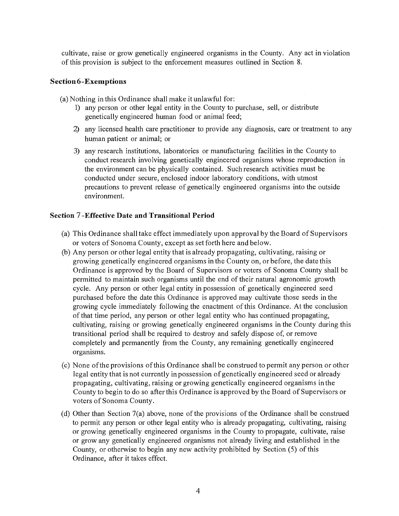cultivate, raise or grow genetically engineered organisms in the County. Any act in violation of this provision is subject to the enforcement measures outlined in Section 8.

#### **Section 6-Exemptions**

(a) Nothing in this Ordinance shall make it unlawful for:

- 1) any person or other legal entity in the County to purchase, sell, or distribute genetically engineered human food or animal feed;
- 2) any licensed health care practitioner to provide any diagnosis, care or treatment to any human patient or animal; or
- 3) any research institutions, laboratories or manufacturing facilities in the County to conduct research involving genetically engineered organisms whose reproduction in the environment can be physically contained. Such research activities must be conducted under secure, enclosed indoor laboratory conditions, with utmost precautions to prevent release of genetically engineered organisms into the outside environment.

#### **Section 7 -Effective Date and Transitional Period**

- (a) This Ordinance shall take effect immediately upon approval by the Board of Supervisors or voters of Sonoma County, except as set forth here and below.
- (b) Any person or other legal entity that is already propagating, cultivating, raising or growing genetically engineered organisms in the County on, or before, the date this Ordinance is approved by the Board of Supervisors or voters of Sonoma County shall be permitted to maintain such organisms until the end of their natural agronomic growth cycle. Any person or other legal entity in possession of genetically engineered seed purchased before the date this Ordinance is approved may cultivate those seeds in the growing cycle immediately following the enactment of this Ordinance. At the conclusion of that time period, any person or other legal entity who has continued propagating, cultivating, raising or growing genetically engineered organisms in the County during this transitional period shall be required to destroy and safely dispose of, or remove completely and permanently from the County, any remaining genetically engineered organisms.
- (c) None ofthe provisions ofthis Ordinance shall be construed to permit any person or other legal entity that is not currently in possession of genetically engineered seed or already propagating, cultivating, raising or growing genetically engineered organisms in the County to begin to do so after this Ordinance is approved by the Board of Supervisors or voters of Sonoma County.
- (d) Other than Section  $7(a)$  above, none of the provisions of the Ordinance shall be construed to permit any person or other legal entity who is already propagating, cultivating, raising or growing genetically engineered organisms in the County to propagate, cultivate, raise or grow any genetically engineered organisms not already living and established in the County, or otherwise to begin any new activity prohibited by Section (5) of this Ordinance, after it takes effect.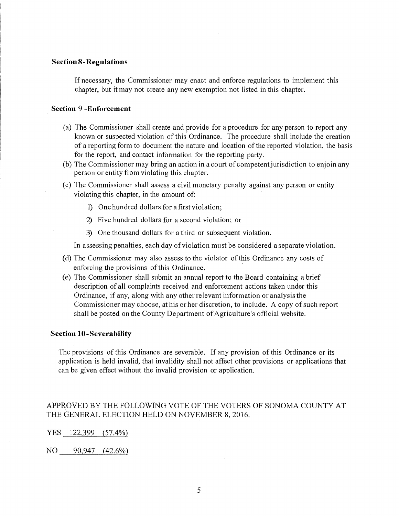#### **Section 8-Regulations**

If necessary, the Commissioner may enact and enforce regulations to implement this chapter, but it may not create any new exemption not listed in this chapter.

#### **Section 9 -Enforcement**

- (a) The Commissioner shall create and provide for a procedure for any person to report any known or suspected violation of this Ordinance. The procedure shall include the creation of a reporting form to document the nature and location ofthe reported violation, the basis for the report, and contact information for the reporting party.
- (b) The Commissioner may bring an action in a court of competent jurisdiction to enjoin any person or entity from violating this chapter.
- (c) The Commissioner shall assess a civil monetary penalty against any person or entity violating this chapter, in the amount of:
	- 1) One hundred dollars for a first violation;
	- 2) Five hundred dollars for a second violation; or
	- 3) One thousand dollars for a third or subsequent violation.

In assessing penalties, each day of violation must be considered a separate violation.

- (d) The Commissioner may also assess to the violator of this Ordinance any costs of enforcing the provisions of this Ordinance.
- (e) The Commissioner shall submit an annual report to the Board containing a brief description of all complaints received and enforcement actions taken under this Ordinance, if any, along with any other relevant information or analysis the Commissioner may choose, at his or her discretion, to include. A copy of such report shall be posted on the County Department of Agriculture's official website.

## **Section 10-Severability**

The provisions of this Ordinance are severable. If any provision of this Ordinance or its application is held invalid, that invalidity shall not affect other provisions or applications that can be given effect without the invalid provision or application.

# APPROVED BY THE FOLLOWING VOTE OF THE VOTERS OF SONOMA COUNTY AT THE GENERAL ELECTION HELD ON NOVEMBER 8, 2016.

YES 122,399 (57.4%)

NO 90,947 (42.6%)